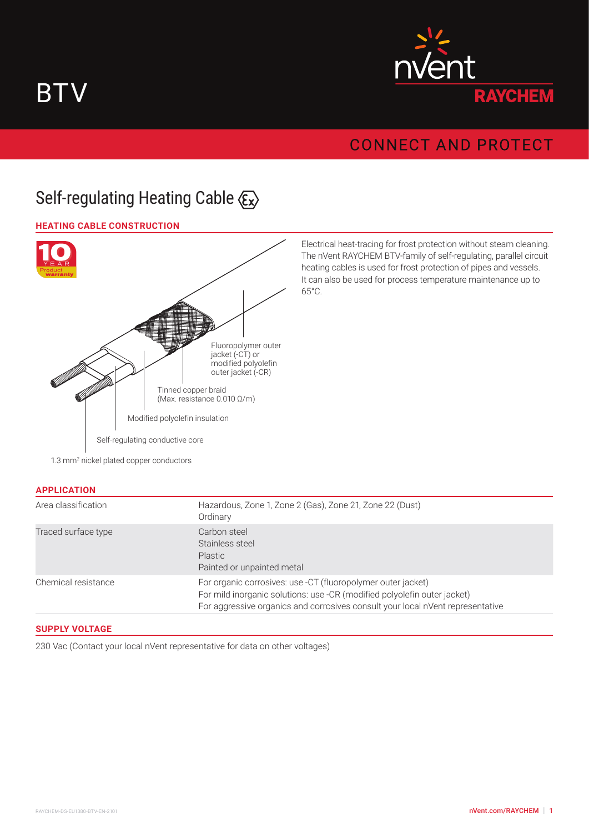



## **CONNECT AND PROTECT**

# Self-regulating Heating Cable  $\langle \xi_x \rangle$

## **HEATING CABLE CONSTRUCTION**



Electrical heat-tracing for frost protection without steam cleaning. The nVent RAYCHEM BTV-family of self-regulating, parallel circuit heating cables is used for frost protection of pipes and vessels. It can also be used for process temperature maintenance up to 65°C.

#### **APPLICATION**

| Area classification | Hazardous, Zone 1, Zone 2 (Gas), Zone 21, Zone 22 (Dust)<br>Ordinary                                                                                                                                                       |
|---------------------|----------------------------------------------------------------------------------------------------------------------------------------------------------------------------------------------------------------------------|
| Traced surface type | Carbon steel<br>Stainless steel<br><b>Plastic</b><br>Painted or unpainted metal                                                                                                                                            |
| Chemical resistance | For organic corrosives: use -CT (fluoropolymer outer jacket)<br>For mild inorganic solutions: use -CR (modified polyolefin outer jacket)<br>For aggressive organics and corrosives consult your local nVent representative |

## **SUPPLY VOLTAGE**

230 Vac (Contact your local nVent representative for data on other voltages)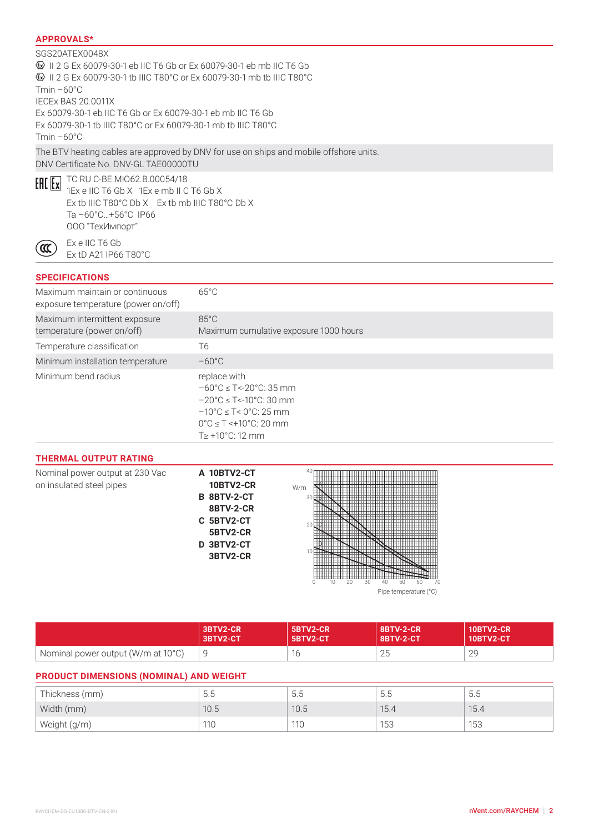## **APPROVALS\***

## SGS20ATEX0048X II 2 G Ex 60079-30-1 eb IIC T6 Gb or Ex 60079-30-1 eb mb IIC T6 Gb II 2 G Ex 60079-30-1 tb IIIC T80°C or Ex 60079-30-1 mb tb IIIC T80°C  $Tmin -60°C$ IECEx BAS 20.0011X Ex 60079-30-1 eb IIC T6 Gb or Ex 60079-30-1 eb mb IIC T6 Gb Ex 60079-30-1 tb IIIC T80°C or Ex 60079-30-1 mb tb IIIC T80°C  $Tmin -60°C$ The BTV heating cables are approved by DNV for use on ships and mobile offshore units. DNV Certificate No. DNV-GL TAE00000TU

 $65^{\circ}$ C

ั๙

**ERE EX** TC RU C-BE.MIO62.B.00054/18 1Ex e IIC T6 Gb X 1Ex e mb II C T6 Gb X Ex tb IIIC T80°C Db X Ex tb mb IIIC T80°C Db X Ta –60°C…+56°C IP66 ООО "ТехИмпорт"

> Ex e IIC T6 Gb Ex tD A21 IP66 T80°C

### **SPECIFICATIONS**

Maximum maintain or continuous exposure temperature (power on/off)

| 0.10000101011101010101011011011101111                       |                                                                                                                                                                                                                                                           |
|-------------------------------------------------------------|-----------------------------------------------------------------------------------------------------------------------------------------------------------------------------------------------------------------------------------------------------------|
| Maximum intermittent exposure<br>temperature (power on/off) | $85^{\circ}$ C<br>Maximum cumulative exposure 1000 hours                                                                                                                                                                                                  |
| Temperature classification                                  | T6                                                                                                                                                                                                                                                        |
| Minimum installation temperature                            | $-60^{\circ}$ C                                                                                                                                                                                                                                           |
| Minimum bend radius                                         | replace with<br>$-60^{\circ}$ C $\leq$ T<-20 $^{\circ}$ C: 35 mm<br>$-20^{\circ}$ C $\leq$ T<-10 $^{\circ}$ C: 30 mm<br>$-10^{\circ}$ C $\leq$ T $<$ 0°C: 25 mm<br>$0^{\circ}$ C $\leq$ T $\leq$ +10 $^{\circ}$ C: 20 mm<br>$T \geq +10^{\circ}$ C: 12 mm |

#### **THERMAL OUTPUT RATING**

| Nominal power output at 230 Vac<br>on insulated steel pipes | A 10BTV2-CT<br><b>10BTV2-CR</b><br>B 8BTV-2-CT<br>8BTV-2-CR<br>C 5BTV2-CT<br>5BTV2-CR<br>D 3BTV2-CT<br>3BTV2-CR | 40<br>W/m<br>30<br>20                               |
|-------------------------------------------------------------|-----------------------------------------------------------------------------------------------------------------|-----------------------------------------------------|
|                                                             |                                                                                                                 | 20<br>30<br>70<br>50<br>40<br>Pipe temperature (°C) |

|                                    | 3BTV2-CR | 5BTV2-CR         | <b>8BTV-2-CR</b> | <b>10BTV2-CR</b> |
|------------------------------------|----------|------------------|------------------|------------------|
|                                    | 3BTV2-CT | <b>5BTV2-CT4</b> | 8BTV-2-CT        | <b>10BTV2-CT</b> |
| Nominal power output (W/m at 10°C) |          | $\sim$           | つに<br>ZU         | 29               |

## **PRODUCT DIMENSIONS (NOMINAL) AND WEIGHT**

| Thickness (mm) | 5.5  | ↳<br>U.J | $\overline{\phantom{0}}$<br>5.5 | D.C  |
|----------------|------|----------|---------------------------------|------|
| Width (mm)     | 10.5 | 10.5     | 15.4                            | 15.4 |
| Weight (g/m)   | 110  | 110      | 153                             | 153  |